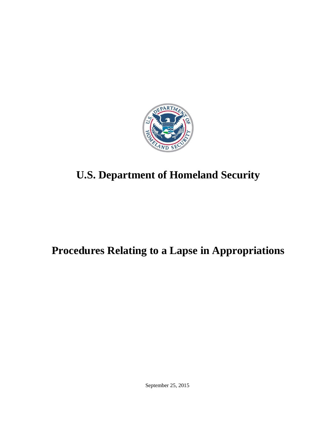

# **U.S. Department of Homeland Security**

# **Procedures Relating to a Lapse in Appropriations**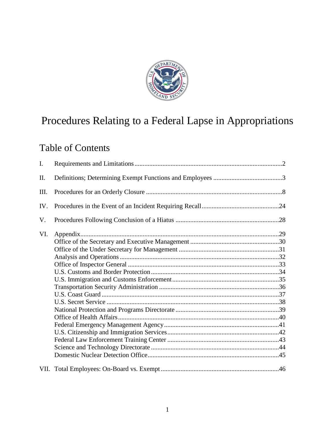

# Procedures Relating to a Federal Lapse in Appropriations

# Table of Contents

| I.  |  |  |  |
|-----|--|--|--|
| II. |  |  |  |
| Ш.  |  |  |  |
| IV. |  |  |  |
| V.  |  |  |  |
| VI. |  |  |  |
|     |  |  |  |
|     |  |  |  |
|     |  |  |  |
|     |  |  |  |
|     |  |  |  |
|     |  |  |  |
|     |  |  |  |
|     |  |  |  |
|     |  |  |  |
|     |  |  |  |
|     |  |  |  |
|     |  |  |  |
|     |  |  |  |
|     |  |  |  |
|     |  |  |  |
|     |  |  |  |
|     |  |  |  |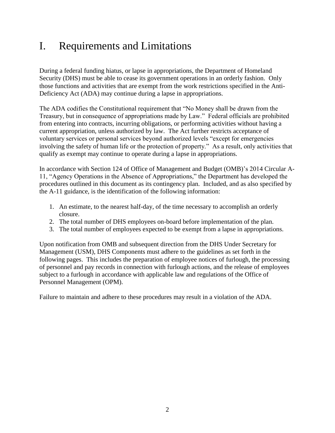# <span id="page-2-0"></span>I. Requirements and Limitations

During a federal funding hiatus, or lapse in appropriations, the Department of Homeland Security (DHS) must be able to cease its government operations in an orderly fashion. Only those functions and activities that are exempt from the work restrictions specified in the Anti-Deficiency Act (ADA) may continue during a lapse in appropriations.

The ADA codifies the Constitutional requirement that "No Money shall be drawn from the Treasury, but in consequence of appropriations made by Law." Federal officials are prohibited from entering into contracts, incurring obligations, or performing activities without having a current appropriation, unless authorized by law. The Act further restricts acceptance of voluntary services or personal services beyond authorized levels "except for emergencies involving the safety of human life or the protection of property." As a result, only activities that qualify as exempt may continue to operate during a lapse in appropriations.

In accordance with Section 124 of Office of Management and Budget (OMB)'s 2014 Circular A-11, "Agency Operations in the Absence of Appropriations," the Department has developed the procedures outlined in this document as its contingency plan. Included, and as also specified by the A-11 guidance, is the identification of the following information:

- 1. An estimate, to the nearest half-day, of the time necessary to accomplish an orderly closure.
- 2. The total number of DHS employees on-board before implementation of the plan.
- 3. The total number of employees expected to be exempt from a lapse in appropriations.

Upon notification from OMB and subsequent direction from the DHS Under Secretary for Management (USM), DHS Components must adhere to the guidelines as set forth in the following pages. This includes the preparation of employee notices of furlough, the processing of personnel and pay records in connection with furlough actions, and the release of employees subject to a furlough in accordance with applicable law and regulations of the Office of Personnel Management (OPM).

Failure to maintain and adhere to these procedures may result in a violation of the ADA.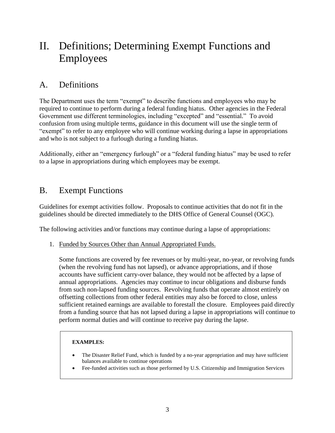# <span id="page-3-0"></span>II. Definitions; Determining Exempt Functions and Employees

# A. Definitions

The Department uses the term "exempt" to describe functions and employees who may be required to continue to perform during a federal funding hiatus. Other agencies in the Federal Government use different terminologies, including "excepted" and "essential." To avoid confusion from using multiple terms, guidance in this document will use the single term of "exempt" to refer to any employee who will continue working during a lapse in appropriations and who is not subject to a furlough during a funding hiatus.

Additionally, either an "emergency furlough" or a "federal funding hiatus" may be used to refer to a lapse in appropriations during which employees may be exempt.

# B. Exempt Functions

Guidelines for exempt activities follow. Proposals to continue activities that do not fit in the guidelines should be directed immediately to the DHS Office of General Counsel (OGC).

The following activities and/or functions may continue during a lapse of appropriations:

1. Funded by Sources Other than Annual Appropriated Funds.

Some functions are covered by fee revenues or by multi-year, no-year, or revolving funds (when the revolving fund has not lapsed), or advance appropriations, and if those accounts have sufficient carry-over balance, they would not be affected by a lapse of annual appropriations. Agencies may continue to incur obligations and disburse funds from such non-lapsed funding sources. Revolving funds that operate almost entirely on offsetting collections from other federal entities may also be forced to close, unless sufficient retained earnings are available to forestall the closure. Employees paid directly from a funding source that has not lapsed during a lapse in appropriations will continue to perform normal duties and will continue to receive pay during the lapse.

#### **EXAMPLES:**

- The Disaster Relief Fund, which is funded by a no-year appropriation and may have sufficient balances available to continue operations
- Fee-funded activities such as those performed by U.S. Citizenship and Immigration Services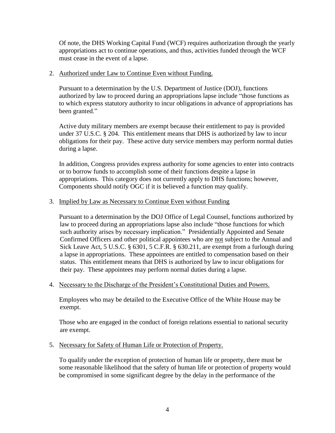Of note, the DHS Working Capital Fund (WCF) requires authorization through the yearly appropriations act to continue operations, and thus, activities funded through the WCF must cease in the event of a lapse.

#### 2. Authorized under Law to Continue Even without Funding.

Pursuant to a determination by the U.S. Department of Justice (DOJ), functions authorized by law to proceed during an appropriations lapse include "those functions as to which express statutory authority to incur obligations in advance of appropriations has been granted."

Active duty military members are exempt because their entitlement to pay is provided under 37 U.S.C. § 204. This entitlement means that DHS is authorized by law to incur obligations for their pay. These active duty service members may perform normal duties during a lapse.

In addition, Congress provides express authority for some agencies to enter into contracts or to borrow funds to accomplish some of their functions despite a lapse in appropriations. This category does not currently apply to DHS functions; however, Components should notify OGC if it is believed a function may qualify.

#### 3. Implied by Law as Necessary to Continue Even without Funding

Pursuant to a determination by the DOJ Office of Legal Counsel, functions authorized by law to proceed during an appropriations lapse also include "those functions for which such authority arises by necessary implication." Presidentially Appointed and Senate Confirmed Officers and other political appointees who are not subject to the Annual and Sick Leave Act, 5 U.S.C. § 6301, 5 C.F.R. § 630.211, are exempt from a furlough during a lapse in appropriations. These appointees are entitled to compensation based on their status. This entitlement means that DHS is authorized by law to incur obligations for their pay. These appointees may perform normal duties during a lapse.

#### 4. Necessary to the Discharge of the President's Constitutional Duties and Powers.

Employees who may be detailed to the Executive Office of the White House may be exempt.

Those who are engaged in the conduct of foreign relations essential to national security are exempt.

#### 5. Necessary for Safety of Human Life or Protection of Property.

To qualify under the exception of protection of human life or property, there must be some reasonable likelihood that the safety of human life or protection of property would be compromised in some significant degree by the delay in the performance of the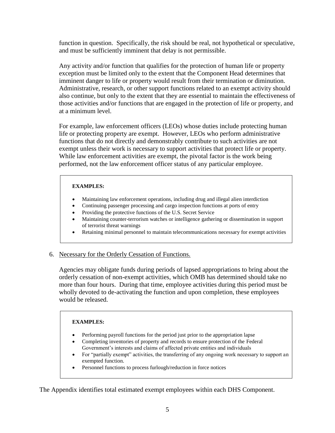function in question. Specifically, the risk should be real, not hypothetical or speculative, and must be sufficiently imminent that delay is not permissible.

Any activity and/or function that qualifies for the protection of human life or property exception must be limited only to the extent that the Component Head determines that imminent danger to life or property would result from their termination or diminution. Administrative, research, or other support functions related to an exempt activity should also continue, but only to the extent that they are essential to maintain the effectiveness of those activities and/or functions that are engaged in the protection of life or property, and at a minimum level.

For example, law enforcement officers (LEOs) whose duties include protecting human life or protecting property are exempt. However, LEOs who perform administrative functions that do not directly and demonstrably contribute to such activities are not exempt unless their work is necessary to support activities that protect life or property. While law enforcement activities are exempt, the pivotal factor is the work being performed, not the law enforcement officer status of any particular employee.

#### **EXAMPLES:**

- Maintaining law enforcement operations, including drug and illegal alien interdiction
- Continuing passenger processing and cargo inspection functions at ports of entry
- Providing the protective functions of the U.S. Secret Service
- Maintaining counter-terrorism watches or intelligence gathering or dissemination in support of terrorist threat warnings
- Retaining minimal personnel to maintain telecommunications necessary for exempt activities

#### 6. Necessary for the Orderly Cessation of Functions.

Agencies may obligate funds during periods of lapsed appropriations to bring about the orderly cessation of non-exempt activities, which OMB has determined should take no more than four hours. During that time, employee activities during this period must be wholly devoted to de-activating the function and upon completion, these employees would be released.

#### **EXAMPLES:**

- Performing payroll functions for the period just prior to the appropriation lapse
- Completing inventories of property and records to ensure protection of the Federal Government's interests and claims of affected private entities and individuals
- For "partially exempt" activities, the transferring of any ongoing work necessary to support an exempted function.
- Personnel functions to process furlough/reduction in force notices

The Appendix identifies total estimated exempt employees within each DHS Component.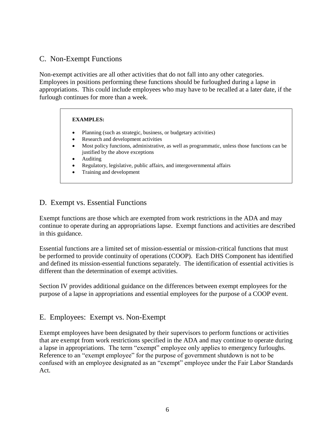### C. Non-Exempt Functions

Non-exempt activities are all other activities that do not fall into any other categories. Employees in positions performing these functions should be furloughed during a lapse in appropriations. This could include employees who may have to be recalled at a later date, if the furlough continues for more than a week.

#### **EXAMPLES:**

- Planning (such as strategic, business, or budgetary activities)
- Research and development activities
- Most policy functions, administrative, as well as programmatic, unless those functions can be justified by the above exceptions
- Auditing
- Regulatory, legislative, public affairs, and intergovernmental affairs
- Training and development

### D. Exempt vs. Essential Functions

Exempt functions are those which are exempted from work restrictions in the ADA and may continue to operate during an appropriations lapse. Exempt functions and activities are described in this guidance.

Essential functions are a limited set of mission-essential or mission-critical functions that must be performed to provide continuity of operations (COOP). Each DHS Component has identified and defined its mission-essential functions separately. The identification of essential activities is different than the determination of exempt activities.

Section IV provides additional guidance on the differences between exempt employees for the purpose of a lapse in appropriations and essential employees for the purpose of a COOP event.

### E. Employees: Exempt vs. Non-Exempt

Exempt employees have been designated by their supervisors to perform functions or activities that are exempt from work restrictions specified in the ADA and may continue to operate during a lapse in appropriations. The term "exempt" employee only applies to emergency furloughs. Reference to an "exempt employee" for the purpose of government shutdown is not to be confused with an employee designated as an "exempt" employee under the Fair Labor Standards Act.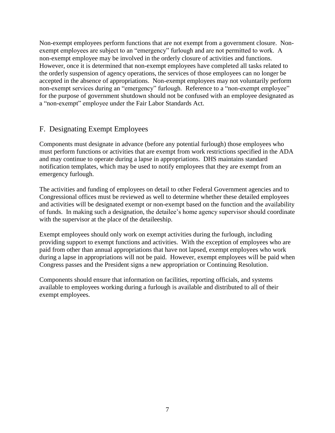Non-exempt employees perform functions that are not exempt from a government closure. Nonexempt employees are subject to an "emergency" furlough and are not permitted to work. A non-exempt employee may be involved in the orderly closure of activities and functions. However, once it is determined that non-exempt employees have completed all tasks related to the orderly suspension of agency operations, the services of those employees can no longer be accepted in the absence of appropriations. Non-exempt employees may not voluntarily perform non-exempt services during an "emergency" furlough. Reference to a "non-exempt employee" for the purpose of government shutdown should not be confused with an employee designated as a "non-exempt" employee under the Fair Labor Standards Act.

## F. Designating Exempt Employees

Components must designate in advance (before any potential furlough) those employees who must perform functions or activities that are exempt from work restrictions specified in the ADA and may continue to operate during a lapse in appropriations. DHS maintains standard notification templates, which may be used to notify employees that they are exempt from an emergency furlough.

The activities and funding of employees on detail to other Federal Government agencies and to Congressional offices must be reviewed as well to determine whether these detailed employees and activities will be designated exempt or non-exempt based on the function and the availability of funds. In making such a designation, the detailee's home agency supervisor should coordinate with the supervisor at the place of the detaileeship.

Exempt employees should only work on exempt activities during the furlough, including providing support to exempt functions and activities. With the exception of employees who are paid from other than annual appropriations that have not lapsed, exempt employees who work during a lapse in appropriations will not be paid. However, exempt employees will be paid when Congress passes and the President signs a new appropriation or Continuing Resolution.

Components should ensure that information on facilities, reporting officials, and systems available to employees working during a furlough is available and distributed to all of their exempt employees.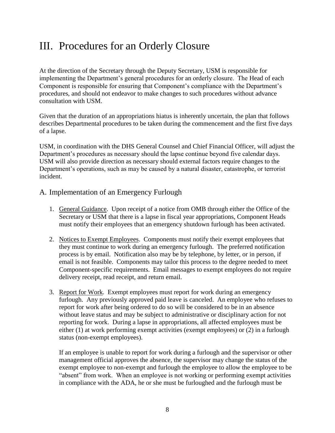# <span id="page-8-0"></span>III. Procedures for an Orderly Closure

At the direction of the Secretary through the Deputy Secretary, USM is responsible for implementing the Department's general procedures for an orderly closure. The Head of each Component is responsible for ensuring that Component's compliance with the Department's procedures, and should not endeavor to make changes to such procedures without advance consultation with USM.

Given that the duration of an appropriations hiatus is inherently uncertain, the plan that follows describes Departmental procedures to be taken during the commencement and the first five days of a lapse.

USM, in coordination with the DHS General Counsel and Chief Financial Officer, will adjust the Department's procedures as necessary should the lapse continue beyond five calendar days. USM will also provide direction as necessary should external factors require changes to the Department's operations, such as may be caused by a natural disaster, catastrophe, or terrorist incident.

### A. Implementation of an Emergency Furlough

- 1. General Guidance. Upon receipt of a notice from OMB through either the Office of the Secretary or USM that there is a lapse in fiscal year appropriations, Component Heads must notify their employees that an emergency shutdown furlough has been activated.
- 2. Notices to Exempt Employees. Components must notify their exempt employees that they must continue to work during an emergency furlough. The preferred notification process is by email. Notification also may be by telephone, by letter, or in person, if email is not feasible. Components may tailor this process to the degree needed to meet Component-specific requirements. Email messages to exempt employees do not require delivery receipt, read receipt, and return email.
- 3. Report for Work. Exempt employees must report for work during an emergency furlough. Any previously approved paid leave is canceled. An employee who refuses to report for work after being ordered to do so will be considered to be in an absence without leave status and may be subject to administrative or disciplinary action for not reporting for work. During a lapse in appropriations, all affected employees must be either (1) at work performing exempt activities (exempt employees) or (2) in a furlough status (non-exempt employees).

If an employee is unable to report for work during a furlough and the supervisor or other management official approves the absence, the supervisor may change the status of the exempt employee to non-exempt and furlough the employee to allow the employee to be "absent" from work. When an employee is not working or performing exempt activities in compliance with the ADA, he or she must be furloughed and the furlough must be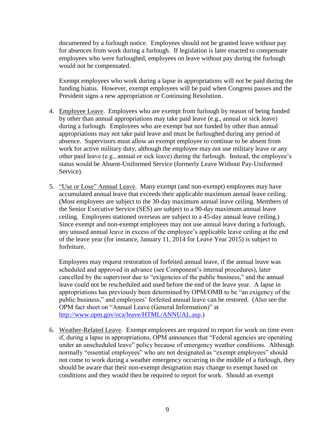documented by a furlough notice. Employees should not be granted leave without pay for absences from work during a furlough. If legislation is later enacted to compensate employees who were furloughed, employees on leave without pay during the furlough would not be compensated.

Exempt employees who work during a lapse in appropriations will not be paid during the funding hiatus. However, exempt employees will be paid when Congress passes and the President signs a new appropriation or Continuing Resolution.

- 4. Employee Leave. Employees who are exempt from furlough by reason of being funded by other than annual appropriations may take paid leave (e.g., annual or sick leave) during a furlough. Employees who are exempt but not funded by other than annual appropriations may not take paid leave and must be furloughed during any period of absence. Supervisors must allow an exempt employee to continue to be absent from work for active military duty, although the employee may not use military leave or any other paid leave (e.g., annual or sick leave) during the furlough. Instead, the employee's status would be Absent-Uniformed Service (formerly Leave Without Pay-Uniformed Service).
- 5. "Use or Lose" Annual Leave. Many exempt (and non-exempt) employees may have accumulated annual leave that exceeds their applicable maximum annual leave ceiling. (Most employees are subject to the 30-day maximum annual leave ceiling. Members of the Senior Executive Service (SES) are subject to a 90-day maximum annual leave ceiling. Employees stationed overseas are subject to a 45-day annual leave ceiling.) Since exempt and non-exempt employees may not use annual leave during a furlough, any unused annual leave in excess of the employee's applicable leave ceiling at the end of the leave year (for instance, January 11, 2014 for Leave Year 2015) is subject to forfeiture.

Employees may request restoration of forfeited annual leave, if the annual leave was scheduled and approved in advance (see Component's internal procedures), later cancelled by the supervisor due to "exigencies of the public business," and the annual leave could not be rescheduled and used before the end of the leave year. A lapse in appropriations has previously been determined by OPM/OMB to be "an exigency of the public business," and employees' forfeited annual leave can be restored. (Also see the OPM fact sheet on "Annual Leave (General Information)" at [http://www.opm.gov/oca/leave/HTML/ANNUAL.asp.](http://www.opm.gov/oca/leave/HTML/ANNUAL.asp))

6. Weather-Related Leave. Exempt employees are required to report for work on time even if, during a lapse in appropriations, OPM announces that "Federal agencies are operating under an unscheduled leave" policy because of emergency weather conditions. Although normally "essential employees" who are not designated as "exempt employees" should not come to work during a weather emergency occurring in the middle of a furlough, they should be aware that their non-exempt designation may change to exempt based on conditions and they would then be required to report for work. Should an exempt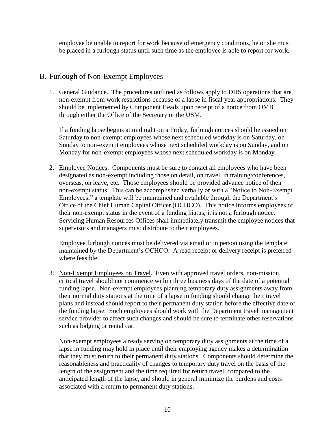employee be unable to report for work because of emergency conditions, he or she must be placed in a furlough status until such time as the employee is able to report for work.

# B. Furlough of Non-Exempt Employees

1. General Guidance. The procedures outlined as follows apply to DHS operations that are non-exempt from work restrictions because of a lapse in fiscal year appropriations. They should be implemented by Component Heads upon receipt of a notice from OMB through either the Office of the Secretary or the USM.

If a funding lapse begins at midnight on a Friday, furlough notices should be issued on Saturday to non-exempt employees whose next scheduled workday is on Saturday, on Sunday to non-exempt employees whose next scheduled workday is on Sunday, and on Monday for non-exempt employees whose next scheduled workday is on Monday.

2. Employee Notices. Components must be sure to contact all employees who have been designated as non-exempt including those on detail, on travel, in training/conferences, overseas, on leave, etc. Those employees should be provided advance notice of their non-exempt status. This can be accomplished verbally or with a "Notice to Non-Exempt Employees;" a template will be maintained and available through the Department's Office of the Chief Human Capital Officer (OCHCO). This notice informs employees of their non-exempt status in the event of a funding hiatus; it is not a furlough notice. Servicing Human Resources Offices shall immediately transmit the employee notices that supervisors and managers must distribute to their employees.

Employee furlough notices must be delivered via email or in person using the template maintained by the Department's OCHCO. A read receipt or delivery receipt is preferred where feasible.

3. Non-Exempt Employees on Travel. Even with approved travel orders, non-mission critical travel should not commence within three business days of the date of a potential funding lapse. Non-exempt employees planning temporary duty assignments away from their normal duty stations at the time of a lapse in funding should change their travel plans and instead should report to their permanent duty station before the effective date of the funding lapse. Such employees should work with the Department travel management service provider to affect such changes and should be sure to terminate other reservations such as lodging or rental car.

Non-exempt employees already serving on temporary duty assignments at the time of a lapse in funding may hold in place until their employing agency makes a determination that they must return to their permanent duty stations. Components should determine the reasonableness and practicality of changes to temporary duty travel on the basis of the length of the assignment and the time required for return travel, compared to the anticipated length of the lapse, and should in general minimize the burdens and costs associated with a return to permanent duty stations.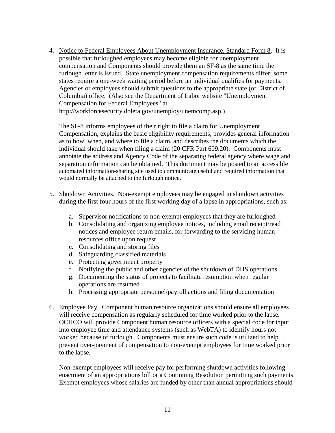4. Notice to Federal Employees About Unemployment Insurance, Standard Form 8. It is possible that furloughed employees may become eligible for unemployment compensation and Components should provide them an SF-8 as the same time the furlough letter is issued. State unemployment compensation requirements differ; some states require a one-week waiting period before an individual qualifies for payments. Agencies or employees should submit questions to the appropriate state (or District of Columbia) office. (Also see the Department of Labor website "Unemployment Compensation for Federal Employees" at [http://workforcesecurity.doleta.gov/unemploy/unemcomp.asp.](http://workforcesecurity.doleta.gov/unemploy/unemcomp.asp))

The SF-8 informs employees of their right to file a claim for Unemployment Compensation, explains the basic eligibility requirements, provides general information as to how, when, and where to file a claim, and describes the documents which the individual should take when filing a claim (20 CFR Part 609.20). Components must annotate the address and Agency Code of the separating federal agency where wage and separation information can be obtained. This document may be posted to an accessible automated information-sharing site used to communicate useful and required information that would normally be attached to the furlough notice.

- 5. Shutdown Activities. Non-exempt employees may be engaged in shutdown activities during the first four hours of the first working day of a lapse in appropriations, such as:
	- a. Supervisor notifications to non-exempt employees that they are furloughed
	- b. Consolidating and organizing employee notices, including email receipt/read notices and employee return emails, for forwarding to the servicing human resources office upon request
	- c. Consolidating and storing files
	- d. Safeguarding classified materials
	- e. Protecting government property
	- f. Notifying the public and other agencies of the shutdown of DHS operations
	- g. Documenting the status of projects to facilitate resumption when regular operations are resumed
	- h. Processing appropriate personnel/payroll actions and filing documentation
- 6. Employee Pay. Component human resource organizations should ensure all employees will receive compensation as regularly scheduled for time worked prior to the lapse. OCHCO will provide Component human resource officers with a special code for input into employee time and attendance systems (such as WebTA) to identify hours not worked because of furlough. Components must ensure such code is utilized to help prevent over-payment of compensation to non-exempt employees for time worked prior to the lapse.

Non-exempt employees will receive pay for performing shutdown activities following enactment of an appropriations bill or a Continuing Resolution permitting such payments. Exempt employees whose salaries are funded by other than annual appropriations should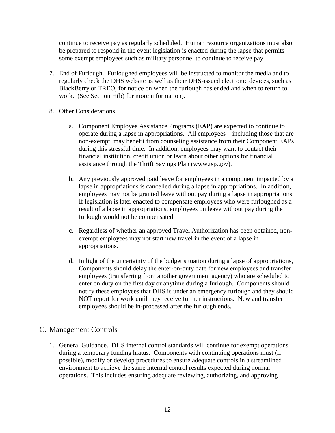continue to receive pay as regularly scheduled. Human resource organizations must also be prepared to respond in the event legislation is enacted during the lapse that permits some exempt employees such as military personnel to continue to receive pay.

7. End of Furlough. Furloughed employees will be instructed to monitor the media and to regularly check the DHS website as well as their DHS-issued electronic devices, such as BlackBerry or TREO, for notice on when the furlough has ended and when to return to work. (See Section H(b) for more information).

#### 8. Other Considerations.

- a. Component Employee Assistance Programs (EAP) are expected to continue to operate during a lapse in appropriations. All employees – including those that are non-exempt, may benefit from counseling assistance from their Component EAPs during this stressful time. In addition, employees may want to contact their financial institution, credit union or learn about other options for financial assistance through the Thrift Savings Plan [\(www.tsp.gov\)](http://www.tsp.gov/).
- b. Any previously approved paid leave for employees in a component impacted by a lapse in appropriations is cancelled during a lapse in appropriations. In addition, employees may not be granted leave without pay during a lapse in appropriations. If legislation is later enacted to compensate employees who were furloughed as a result of a lapse in appropriations, employees on leave without pay during the furlough would not be compensated.
- c. Regardless of whether an approved Travel Authorization has been obtained, nonexempt employees may not start new travel in the event of a lapse in appropriations.
- d. In light of the uncertainty of the budget situation during a lapse of appropriations, Components should delay the enter-on-duty date for new employees and transfer employees (transferring from another government agency) who are scheduled to enter on duty on the first day or anytime during a furlough. Components should notify these employees that DHS is under an emergency furlough and they should NOT report for work until they receive further instructions. New and transfer employees should be in-processed after the furlough ends.

# C. Management Controls

1. General Guidance. DHS internal control standards will continue for exempt operations during a temporary funding hiatus. Components with continuing operations must (if possible), modify or develop procedures to ensure adequate controls in a streamlined environment to achieve the same internal control results expected during normal operations. This includes ensuring adequate reviewing, authorizing, and approving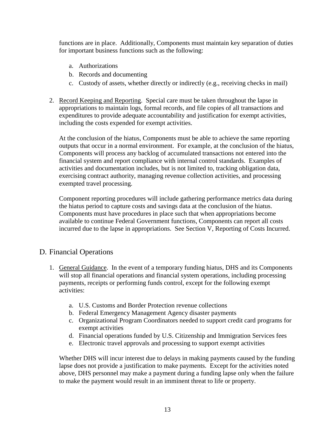functions are in place. Additionally, Components must maintain key separation of duties for important business functions such as the following:

- a. Authorizations
- b. Records and documenting
- c. Custody of assets, whether directly or indirectly (e.g., receiving checks in mail)
- 2. Record Keeping and Reporting. Special care must be taken throughout the lapse in appropriations to maintain logs, formal records, and file copies of all transactions and expenditures to provide adequate accountability and justification for exempt activities, including the costs expended for exempt activities.

At the conclusion of the hiatus, Components must be able to achieve the same reporting outputs that occur in a normal environment. For example, at the conclusion of the hiatus, Components will process any backlog of accumulated transactions not entered into the financial system and report compliance with internal control standards. Examples of activities and documentation includes, but is not limited to, tracking obligation data, exercising contract authority, managing revenue collection activities, and processing exempted travel processing.

Component reporting procedures will include gathering performance metrics data during the hiatus period to capture costs and savings data at the conclusion of the hiatus. Components must have procedures in place such that when appropriations become available to continue Federal Government functions, Components can report all costs incurred due to the lapse in appropriations. See Section V, Reporting of Costs Incurred.

# D. Financial Operations

- 1. General Guidance. In the event of a temporary funding hiatus, DHS and its Components will stop all financial operations and financial system operations, including processing payments, receipts or performing funds control, except for the following exempt activities:
	- a. U.S. Customs and Border Protection revenue collections
	- b. Federal Emergency Management Agency disaster payments
	- c. Organizational Program Coordinators needed to support credit card programs for exempt activities
	- d. Financial operations funded by U.S. Citizenship and Immigration Services fees
	- e. Electronic travel approvals and processing to support exempt activities

Whether DHS will incur interest due to delays in making payments caused by the funding lapse does not provide a justification to make payments. Except for the activities noted above, DHS personnel may make a payment during a funding lapse only when the failure to make the payment would result in an imminent threat to life or property.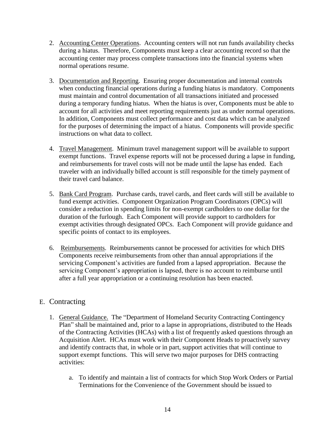- 2. Accounting Center Operations. Accounting centers will not run funds availability checks during a hiatus. Therefore, Components must keep a clear accounting record so that the accounting center may process complete transactions into the financial systems when normal operations resume.
- 3. Documentation and Reporting. Ensuring proper documentation and internal controls when conducting financial operations during a funding hiatus is mandatory. Components must maintain and control documentation of all transactions initiated and processed during a temporary funding hiatus. When the hiatus is over, Components must be able to account for all activities and meet reporting requirements just as under normal operations. In addition, Components must collect performance and cost data which can be analyzed for the purposes of determining the impact of a hiatus. Components will provide specific instructions on what data to collect.
- 4. Travel Management. Minimum travel management support will be available to support exempt functions. Travel expense reports will not be processed during a lapse in funding, and reimbursements for travel costs will not be made until the lapse has ended. Each traveler with an individually billed account is still responsible for the timely payment of their travel card balance.
- 5. Bank Card Program. Purchase cards, travel cards, and fleet cards will still be available to fund exempt activities. Component Organization Program Coordinators (OPCs) will consider a reduction in spending limits for non-exempt cardholders to one dollar for the duration of the furlough. Each Component will provide support to cardholders for exempt activities through designated OPCs. Each Component will provide guidance and specific points of contact to its employees.
- 6. Reimbursements. Reimbursements cannot be processed for activities for which DHS Components receive reimbursements from other than annual appropriations if the servicing Component's activities are funded from a lapsed appropriation. Because the servicing Component's appropriation is lapsed, there is no account to reimburse until after a full year appropriation or a continuing resolution has been enacted.

# E. Contracting

- 1. General Guidance. The "Department of Homeland Security Contracting Contingency Plan" shall be maintained and, prior to a lapse in appropriations, distributed to the Heads of the Contracting Activities (HCAs) with a list of frequently asked questions through an Acquisition Alert. HCAs must work with their Component Heads to proactively survey and identify contracts that, in whole or in part, support activities that will continue to support exempt functions. This will serve two major purposes for DHS contracting activities:
	- a. To identify and maintain a list of contracts for which Stop Work Orders or Partial Terminations for the Convenience of the Government should be issued to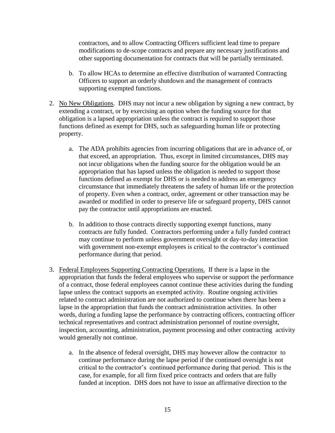contractors, and to allow Contracting Officers sufficient lead time to prepare modifications to de-scope contracts and prepare any necessary justifications and other supporting documentation for contracts that will be partially terminated.

- b. To allow HCAs to determine an effective distribution of warranted Contracting Officers to support an orderly shutdown and the management of contracts supporting exempted functions.
- 2. No New Obligations. DHS may not incur a new obligation by signing a new contract, by extending a contract, or by exercising an option when the funding source for that obligation is a lapsed appropriation unless the contract is required to support those functions defined as exempt for DHS, such as safeguarding human life or protecting property.
	- a. The ADA prohibits agencies from incurring obligations that are in advance of, or that exceed, an appropriation. Thus, except in limited circumstances, DHS may not incur obligations when the funding source for the obligation would be an appropriation that has lapsed unless the obligation is needed to support those functions defined as exempt for DHS or is needed to address an emergency circumstance that immediately threatens the safety of human life or the protection of property. Even when a contract, order, agreement or other transaction may be awarded or modified in order to preserve life or safeguard property, DHS cannot pay the contractor until appropriations are enacted.
	- b. In addition to those contracts directly supporting exempt functions, many contracts are fully funded. Contractors performing under a fully funded contract may continue to perform unless government oversight or day-to-day interaction with government non-exempt employees is critical to the contractor's continued performance during that period.
- 3. Federal Employees Supporting Contracting Operations. If there is a lapse in the appropriation that funds the federal employees who supervise or support the performance of a contract, those federal employees cannot continue these activities during the funding lapse unless the contract supports an exempted activity. Routine ongoing activities related to contract administration are not authorized to continue when there has been a lapse in the appropriation that funds the contract administration activities. In other words, during a funding lapse the performance by contracting officers, contracting officer technical representatives and contract administration personnel of routine oversight, inspection, accounting, administration, payment processing and other contracting activity would generally not continue.
	- a. In the absence of federal oversight, DHS may however allow the contractor to continue performance during the lapse period if the continued oversight is not critical to the contractor's continued performance during that period. This is the case, for example, for all firm fixed price contracts and orders that are fully funded at inception. DHS does not have to issue an affirmative direction to the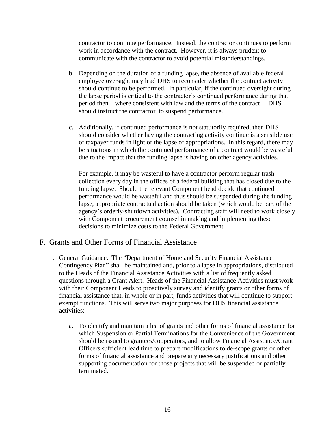contractor to continue performance. Instead, the contractor continues to perform work in accordance with the contract. However, it is always prudent to communicate with the contractor to avoid potential misunderstandings.

- b. Depending on the duration of a funding lapse, the absence of available federal employee oversight may lead DHS to reconsider whether the contract activity should continue to be performed. In particular, if the continued oversight during the lapse period is critical to the contractor's continued performance during that period then – where consistent with law and the terms of the contract – DHS should instruct the contractor to suspend performance.
- c. Additionally, if continued performance is not statutorily required, then DHS should consider whether having the contracting activity continue is a sensible use of taxpayer funds in light of the lapse of appropriations. In this regard, there may be situations in which the continued performance of a contract would be wasteful due to the impact that the funding lapse is having on other agency activities.

For example, it may be wasteful to have a contractor perform regular trash collection every day in the offices of a federal building that has closed due to the funding lapse. Should the relevant Component head decide that continued performance would be wasteful and thus should be suspended during the funding lapse, appropriate contractual action should be taken (which would be part of the agency's orderly-shutdown activities). Contracting staff will need to work closely with Component procurement counsel in making and implementing these decisions to minimize costs to the Federal Government.

### F. Grants and Other Forms of Financial Assistance

- 1. General Guidance. The "Department of Homeland Security Financial Assistance Contingency Plan" shall be maintained and, prior to a lapse in appropriations, distributed to the Heads of the Financial Assistance Activities with a list of frequently asked questions through a Grant Alert. Heads of the Financial Assistance Activities must work with their Component Heads to proactively survey and identify grants or other forms of financial assistance that, in whole or in part, funds activities that will continue to support exempt functions. This will serve two major purposes for DHS financial assistance activities:
	- a. To identify and maintain a list of grants and other forms of financial assistance for which Suspension or Partial Terminations for the Convenience of the Government should be issued to grantees/cooperators, and to allow Financial Assistance/Grant Officers sufficient lead time to prepare modifications to de-scope grants or other forms of financial assistance and prepare any necessary justifications and other supporting documentation for those projects that will be suspended or partially terminated.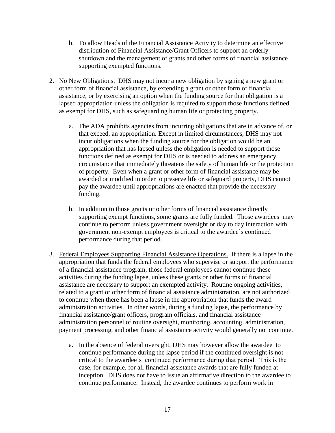- b. To allow Heads of the Financial Assistance Activity to determine an effective distribution of Financial Assistance/Grant Officers to support an orderly shutdown and the management of grants and other forms of financial assistance supporting exempted functions.
- 2. No New Obligations. DHS may not incur a new obligation by signing a new grant or other form of financial assistance, by extending a grant or other form of financial assistance, or by exercising an option when the funding source for that obligation is a lapsed appropriation unless the obligation is required to support those functions defined as exempt for DHS, such as safeguarding human life or protecting property.
	- a. The ADA prohibits agencies from incurring obligations that are in advance of, or that exceed, an appropriation. Except in limited circumstances, DHS may not incur obligations when the funding source for the obligation would be an appropriation that has lapsed unless the obligation is needed to support those functions defined as exempt for DHS or is needed to address an emergency circumstance that immediately threatens the safety of human life or the protection of property. Even when a grant or other form of financial assistance may be awarded or modified in order to preserve life or safeguard property, DHS cannot pay the awardee until appropriations are enacted that provide the necessary funding.
	- b. In addition to those grants or other forms of financial assistance directly supporting exempt functions, some grants are fully funded. Those awardees may continue to perform unless government oversight or day to day interaction with government non-exempt employees is critical to the awardee's continued performance during that period.
- 3. Federal Employees Supporting Financial Assistance Operations. If there is a lapse in the appropriation that funds the federal employees who supervise or support the performance of a financial assistance program, those federal employees cannot continue these activities during the funding lapse, unless these grants or other forms of financial assistance are necessary to support an exempted activity. Routine ongoing activities, related to a grant or other form of financial assistance administration, are not authorized to continue when there has been a lapse in the appropriation that funds the award administration activities. In other words, during a funding lapse, the performance by financial assistance/grant officers, program officials, and financial assistance administration personnel of routine oversight, monitoring, accounting, administration, payment processing, and other financial assistance activity would generally not continue.
	- a. In the absence of federal oversight, DHS may however allow the awardee to continue performance during the lapse period if the continued oversight is not critical to the awardee's continued performance during that period. This is the case, for example, for all financial assistance awards that are fully funded at inception. DHS does not have to issue an affirmative direction to the awardee to continue performance. Instead, the awardee continues to perform work in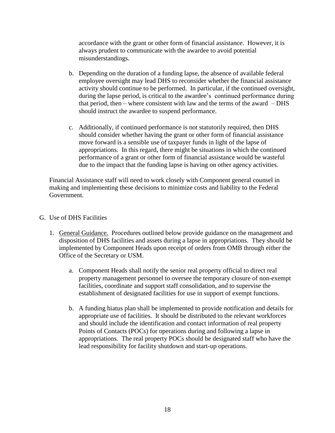accordance with the grant or other form of financial assistance. However, it is always prudent to communicate with the awardee to avoid potential misunderstandings.

- b. Depending on the duration of a funding lapse, the absence of available federal employee oversight may lead DHS to reconsider whether the financial assistance activity should continue to be performed. In particular, if the continued oversight, during the lapse period, is critical to the awardee's continued performance during that period, then – where consistent with law and the terms of the award –  $DHS$ should instruct the awardee to suspend performance.
- c. Additionally, if continued performance is not statutorily required, then DHS should consider whether having the grant or other form of financial assistance move forward is a sensible use of taxpayer funds in light of the lapse of appropriations. In this regard, there might be situations in which the continued performance of a grant or other form of financial assistance would be wasteful due to the impact that the funding lapse is having on other agency activities.

Financial Assistance staff will need to work closely with Component general counsel in making and implementing these decisions to minimize costs and liability to the Federal Government.

- G. Use of DHS Facilities
	- 1. General Guidance. Procedures outlined below provide guidance on the management and disposition of DHS facilities and assets during a lapse in appropriations. They should be implemented by Component Heads upon receipt of orders from OMB through either the Office of the Secretary or USM.
		- a. Component Heads shall notify the senior real property official to direct real property management personnel to oversee the temporary closure of non-exempt facilities, coordinate and support staff consolidation, and to supervise the establishment of designated facilities for use in support of exempt functions.
		- b. A funding hiatus plan shall be implemented to provide notification and details for appropriate use of facilities. It should be distributed to the relevant workforces and should include the identification and contact information of real property Points of Contacts (POCs) for operations during and following a lapse in appropriations. The real property POCs should be designated staff who have the lead responsibility for facility shutdown and start-up operations.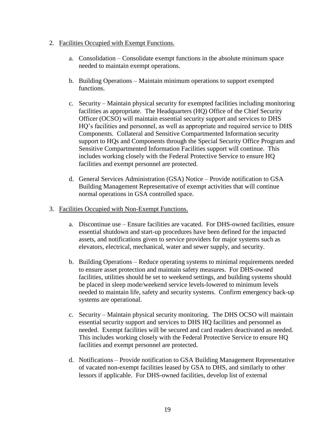#### 2. Facilities Occupied with Exempt Functions.

- a. Consolidation Consolidate exempt functions in the absolute minimum space needed to maintain exempt operations.
- b. Building Operations Maintain minimum operations to support exempted functions.
- c. Security Maintain physical security for exempted facilities including monitoring facilities as appropriate. The Headquarters (HQ) Office of the Chief Security Officer (OCSO) will maintain essential security support and services to DHS HQ's facilities and personnel, as well as appropriate and required service to DHS Components. Collateral and Sensitive Compartmented Information security support to HQs and Components through the Special Security Office Program and Sensitive Compartmented Information Facilities support will continue. This includes working closely with the Federal Protective Service to ensure HQ facilities and exempt personnel are protected.
- d. General Services Administration (GSA) Notice Provide notification to GSA Building Management Representative of exempt activities that will continue normal operations in GSA controlled space.

#### 3. Facilities Occupied with Non-Exempt Functions.

- a. Discontinue use Ensure facilities are vacated. For DHS-owned facilities, ensure essential shutdown and start-up procedures have been defined for the impacted assets, and notifications given to service providers for major systems such as elevators, electrical, mechanical, water and sewer supply, and security.
- b. Building Operations Reduce operating systems to minimal requirements needed to ensure asset protection and maintain safety measures. For DHS-owned facilities, utilities should be set to weekend settings, and building systems should be placed in sleep mode/weekend service levels-lowered to minimum levels needed to maintain life, safety and security systems. Confirm emergency back-up systems are operational.
- c. Security Maintain physical security monitoring. The DHS OCSO will maintain essential security support and services to DHS HQ facilities and personnel as needed. Exempt facilities will be secured and card readers deactivated as needed. This includes working closely with the Federal Protective Service to ensure HQ facilities and exempt personnel are protected.
- d. Notifications Provide notification to GSA Building Management Representative of vacated non-exempt facilities leased by GSA to DHS, and similarly to other lessors if applicable. For DHS-owned facilities, develop list of external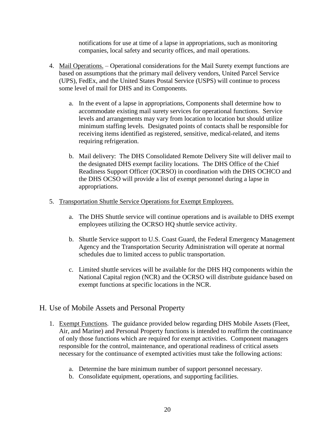notifications for use at time of a lapse in appropriations, such as monitoring companies, local safety and security offices, and mail operations.

- 4. Mail Operations. Operational considerations for the Mail Surety exempt functions are based on assumptions that the primary mail delivery vendors, United Parcel Service (UPS), FedEx, and the United States Postal Service (USPS) will continue to process some level of mail for DHS and its Components.
	- a. In the event of a lapse in appropriations, Components shall determine how to accommodate existing mail surety services for operational functions. Service levels and arrangements may vary from location to location but should utilize minimum staffing levels. Designated points of contacts shall be responsible for receiving items identified as registered, sensitive, medical-related, and items requiring refrigeration.
	- b. Mail delivery: The DHS Consolidated Remote Delivery Site will deliver mail to the designated DHS exempt facility locations. The DHS Office of the Chief Readiness Support Officer (OCRSO) in coordination with the DHS OCHCO and the DHS OCSO will provide a list of exempt personnel during a lapse in appropriations.
- 5. Transportation Shuttle Service Operations for Exempt Employees.
	- a. The DHS Shuttle service will continue operations and is available to DHS exempt employees utilizing the OCRSO HQ shuttle service activity.
	- b. Shuttle Service support to U.S. Coast Guard, the Federal Emergency Management Agency and the Transportation Security Administration will operate at normal schedules due to limited access to public transportation.
	- c. Limited shuttle services will be available for the DHS HQ components within the National Capital region (NCR) and the OCRSO will distribute guidance based on exempt functions at specific locations in the NCR.

### H. Use of Mobile Assets and Personal Property

- 1. Exempt Functions. The guidance provided below regarding DHS Mobile Assets (Fleet, Air, and Marine) and Personal Property functions is intended to reaffirm the continuance of only those functions which are required for exempt activities. Component managers responsible for the control, maintenance, and operational readiness of critical assets necessary for the continuance of exempted activities must take the following actions:
	- a. Determine the bare minimum number of support personnel necessary.
	- b. Consolidate equipment, operations, and supporting facilities.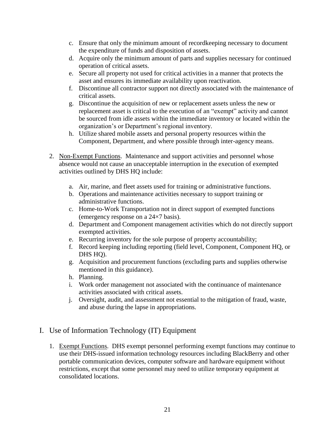- c. Ensure that only the minimum amount of recordkeeping necessary to document the expenditure of funds and disposition of assets.
- d. Acquire only the minimum amount of parts and supplies necessary for continued operation of critical assets.
- e. Secure all property not used for critical activities in a manner that protects the asset and ensures its immediate availability upon reactivation.
- f. Discontinue all contractor support not directly associated with the maintenance of critical assets.
- g. Discontinue the acquisition of new or replacement assets unless the new or replacement asset is critical to the execution of an "exempt" activity and cannot be sourced from idle assets within the immediate inventory or located within the organization's or Department's regional inventory.
- h. Utilize shared mobile assets and personal property resources within the Component, Department, and where possible through inter-agency means.
- 2. Non-Exempt Functions. Maintenance and support activities and personnel whose absence would not cause an unacceptable interruption in the execution of exempted activities outlined by DHS HQ include:
	- a. Air, marine, and fleet assets used for training or administrative functions.
	- b. Operations and maintenance activities necessary to support training or administrative functions.
	- c. Home-to-Work Transportation not in direct support of exempted functions (emergency response on a 24×7 basis).
	- d. Department and Component management activities which do not directly support exempted activities.
	- e. Recurring inventory for the sole purpose of property accountability;
	- f. Record keeping including reporting (field level, Component, Component HQ, or DHS HQ).
	- g. Acquisition and procurement functions (excluding parts and supplies otherwise mentioned in this guidance).
	- h. Planning.
	- i. Work order management not associated with the continuance of maintenance activities associated with critical assets.
	- j. Oversight, audit, and assessment not essential to the mitigation of fraud, waste, and abuse during the lapse in appropriations.
- I. Use of Information Technology (IT) Equipment
	- 1. Exempt Functions. DHS exempt personnel performing exempt functions may continue to use their DHS-issued information technology resources including BlackBerry and other portable communication devices, computer software and hardware equipment without restrictions, except that some personnel may need to utilize temporary equipment at consolidated locations.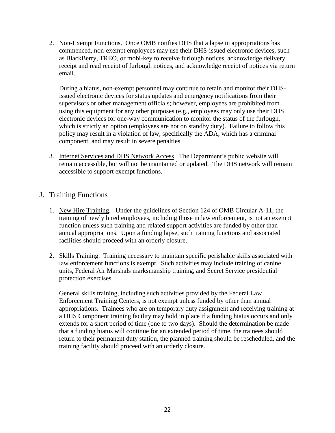2. Non-Exempt Functions. Once OMB notifies DHS that a lapse in appropriations has commenced, non-exempt employees may use their DHS-issued electronic devices, such as BlackBerry, TREO, or mobi-key to receive furlough notices, acknowledge delivery receipt and read receipt of furlough notices, and acknowledge receipt of notices via return email.

During a hiatus, non-exempt personnel may continue to retain and monitor their DHSissued electronic devices for status updates and emergency notifications from their supervisors or other management officials; however, employees are prohibited from using this equipment for any other purposes (e.g., employees may only use their DHS electronic devices for one-way communication to monitor the status of the furlough, which is strictly an option (employees are not on standby duty). Failure to follow this policy may result in a violation of law, specifically the ADA, which has a criminal component, and may result in severe penalties.

3. Internet Services and DHS Network Access. The Department's public website will remain accessible, but will not be maintained or updated. The DHS network will remain accessible to support exempt functions.

## J. Training Functions

- 1. New Hire Training. Under the guidelines of Section 124 of OMB Circular A-11, the training of newly hired employees, including those in law enforcement, is not an exempt function unless such training and related support activities are funded by other than annual appropriations. Upon a funding lapse, such training functions and associated facilities should proceed with an orderly closure.
- 2. Skills Training. Training necessary to maintain specific perishable skills associated with law enforcement functions is exempt. Such activities may include training of canine units, Federal Air Marshals marksmanship training, and Secret Service presidential protection exercises.

General skills training, including such activities provided by the Federal Law Enforcement Training Centers, is not exempt unless funded by other than annual appropriations. Trainees who are on temporary duty assignment and receiving training at a DHS Component training facility may hold in place if a funding hiatus occurs and only extends for a short period of time (one to two days). Should the determination be made that a funding hiatus will continue for an extended period of time, the trainees should return to their permanent duty station, the planned training should be rescheduled, and the training facility should proceed with an orderly closure.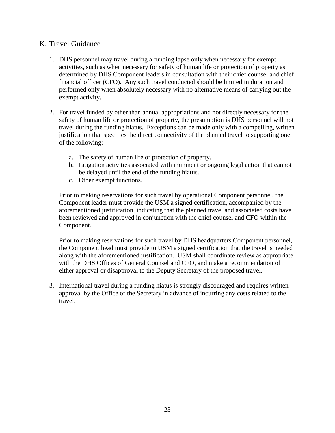# K. Travel Guidance

- 1. DHS personnel may travel during a funding lapse only when necessary for exempt activities, such as when necessary for safety of human life or protection of property as determined by DHS Component leaders in consultation with their chief counsel and chief financial officer (CFO). Any such travel conducted should be limited in duration and performed only when absolutely necessary with no alternative means of carrying out the exempt activity.
- 2. For travel funded by other than annual appropriations and not directly necessary for the safety of human life or protection of property, the presumption is DHS personnel will not travel during the funding hiatus. Exceptions can be made only with a compelling, written justification that specifies the direct connectivity of the planned travel to supporting one of the following:
	- a. The safety of human life or protection of property.
	- b. Litigation activities associated with imminent or ongoing legal action that cannot be delayed until the end of the funding hiatus.
	- c. Other exempt functions.

Prior to making reservations for such travel by operational Component personnel, the Component leader must provide the USM a signed certification, accompanied by the aforementioned justification, indicating that the planned travel and associated costs have been reviewed and approved in conjunction with the chief counsel and CFO within the Component.

Prior to making reservations for such travel by DHS headquarters Component personnel, the Component head must provide to USM a signed certification that the travel is needed along with the aforementioned justification. USM shall coordinate review as appropriate with the DHS Offices of General Counsel and CFO, and make a recommendation of either approval or disapproval to the Deputy Secretary of the proposed travel.

3. International travel during a funding hiatus is strongly discouraged and requires written approval by the Office of the Secretary in advance of incurring any costs related to the travel.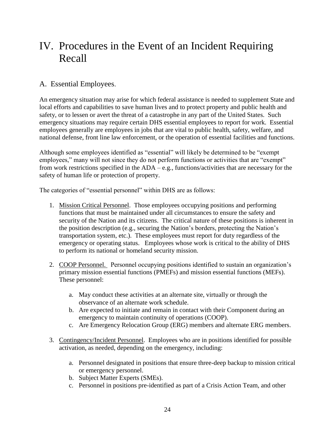# <span id="page-24-0"></span>IV. Procedures in the Event of an Incident Requiring Recall

# A. Essential Employees.

An emergency situation may arise for which federal assistance is needed to supplement State and local efforts and capabilities to save human lives and to protect property and public health and safety, or to lessen or avert the threat of a catastrophe in any part of the United States. Such emergency situations may require certain DHS essential employees to report for work. Essential employees generally are employees in jobs that are vital to public health, safety, welfare, and national defense, front line law enforcement, or the operation of essential facilities and functions.

Although some employees identified as "essential" will likely be determined to be "exempt employees," many will not since they do not perform functions or activities that are "exempt" from work restrictions specified in the ADA – e.g., functions/activities that are necessary for the safety of human life or protection of property.

The categories of "essential personnel" within DHS are as follows:

- 1. Mission Critical Personnel. Those employees occupying positions and performing functions that must be maintained under all circumstances to ensure the safety and security of the Nation and its citizens. The critical nature of these positions is inherent in the position description (e.g., securing the Nation's borders, protecting the Nation's transportation system, etc.). These employees must report for duty regardless of the emergency or operating status. Employees whose work is critical to the ability of DHS to perform its national or homeland security mission.
- 2. COOP Personnel. Personnel occupying positions identified to sustain an organization's primary mission essential functions (PMEFs) and mission essential functions (MEFs). These personnel:
	- a. May conduct these activities at an alternate site, virtually or through the observance of an alternate work schedule.
	- b. Are expected to initiate and remain in contact with their Component during an emergency to maintain continuity of operations (COOP).
	- c. Are Emergency Relocation Group (ERG) members and alternate ERG members.
- 3. Contingency/Incident Personnel. Employees who are in positions identified for possible activation, as needed, depending on the emergency, including:
	- a. Personnel designated in positions that ensure three-deep backup to mission critical or emergency personnel.
	- b. Subject Matter Experts (SMEs).
	- c. Personnel in positions pre-identified as part of a Crisis Action Team, and other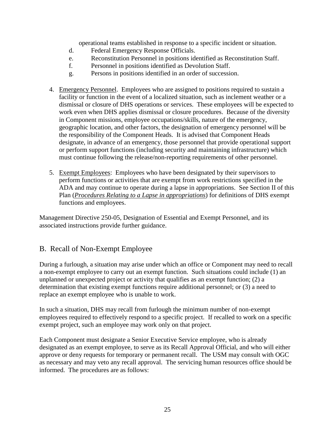operational teams established in response to a specific incident or situation.

- d. Federal Emergency Response Officials.
- e. Reconstitution Personnel in positions identified as Reconstitution Staff.
- f. Personnel in positions identified as Devolution Staff.
- g. Persons in positions identified in an order of succession.
- 4. Emergency Personnel. Employees who are assigned to positions required to sustain a facility or function in the event of a localized situation, such as inclement weather or a dismissal or closure of DHS operations or services. These employees will be expected to work even when DHS applies dismissal or closure procedures. Because of the diversity in Component missions, employee occupations/skills, nature of the emergency, geographic location, and other factors, the designation of emergency personnel will be the responsibility of the Component Heads. It is advised that Component Heads designate, in advance of an emergency, those personnel that provide operational support or perform support functions (including security and maintaining infrastructure) which must continue following the release/non-reporting requirements of other personnel.
- 5. Exempt Employees: Employees who have been designated by their supervisors to perform functions or activities that are exempt from work restrictions specified in the ADA and may continue to operate during a lapse in appropriations. See Section II of this Plan (*Procedures Relating to a Lapse in appropriations*) for definitions of DHS exempt functions and employees.

Management Directive 250-05, Designation of Essential and Exempt Personnel, and its associated instructions provide further guidance.

# B. Recall of Non-Exempt Employee

During a furlough, a situation may arise under which an office or Component may need to recall a non-exempt employee to carry out an exempt function. Such situations could include (1) an unplanned or unexpected project or activity that qualifies as an exempt function; (2) a determination that existing exempt functions require additional personnel; or (3) a need to replace an exempt employee who is unable to work.

In such a situation, DHS may recall from furlough the minimum number of non-exempt employees required to effectively respond to a specific project. If recalled to work on a specific exempt project, such an employee may work only on that project.

Each Component must designate a Senior Executive Service employee, who is already designated as an exempt employee, to serve as its Recall Approval Official, and who will either approve or deny requests for temporary or permanent recall. The USM may consult with OGC as necessary and may veto any recall approval. The servicing human resources office should be informed. The procedures are as follows: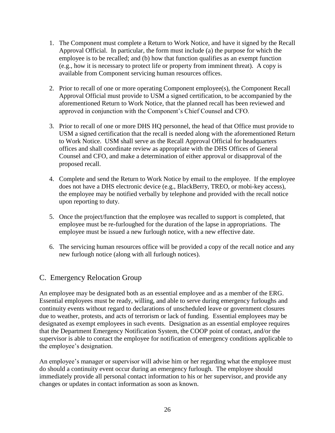- 1. The Component must complete a Return to Work Notice, and have it signed by the Recall Approval Official. In particular, the form must include (a) the purpose for which the employee is to be recalled; and (b) how that function qualifies as an exempt function (e.g., how it is necessary to protect life or property from imminent threat). A copy is available from Component servicing human resources offices.
- 2. Prior to recall of one or more operating Component employee(s), the Component Recall Approval Official must provide to USM a signed certification, to be accompanied by the aforementioned Return to Work Notice, that the planned recall has been reviewed and approved in conjunction with the Component's Chief Counsel and CFO.
- 3. Prior to recall of one or more DHS HQ personnel, the head of that Office must provide to USM a signed certification that the recall is needed along with the aforementioned Return to Work Notice. USM shall serve as the Recall Approval Official for headquarters offices and shall coordinate review as appropriate with the DHS Offices of General Counsel and CFO, and make a determination of either approval or disapproval of the proposed recall.
- 4. Complete and send the Return to Work Notice by email to the employee. If the employee does not have a DHS electronic device (e.g., BlackBerry, TREO, or mobi-key access), the employee may be notified verbally by telephone and provided with the recall notice upon reporting to duty.
- 5. Once the project/function that the employee was recalled to support is completed, that employee must be re-furloughed for the duration of the lapse in appropriations. The employee must be issued a new furlough notice, with a new effective date.
- 6. The servicing human resources office will be provided a copy of the recall notice and any new furlough notice (along with all furlough notices).

# C. Emergency Relocation Group

An employee may be designated both as an essential employee and as a member of the ERG. Essential employees must be ready, willing, and able to serve during emergency furloughs and continuity events without regard to declarations of unscheduled leave or government closures due to weather, protests, and acts of terrorism or lack of funding. Essential employees may be designated as exempt employees in such events. Designation as an essential employee requires that the Department Emergency Notification System, the COOP point of contact, and/or the supervisor is able to contact the employee for notification of emergency conditions applicable to the employee's designation.

An employee's manager or supervisor will advise him or her regarding what the employee must do should a continuity event occur during an emergency furlough. The employee should immediately provide all personal contact information to his or her supervisor, and provide any changes or updates in contact information as soon as known.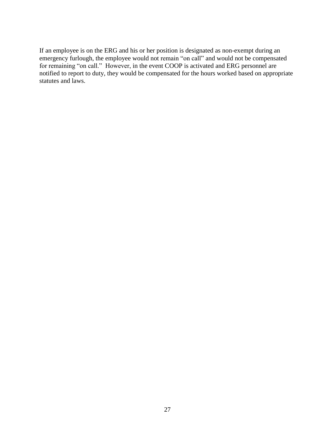If an employee is on the ERG and his or her position is designated as non-exempt during an emergency furlough, the employee would not remain "on call" and would not be compensated for remaining "on call." However, in the event COOP is activated and ERG personnel are notified to report to duty, they would be compensated for the hours worked based on appropriate statutes and laws.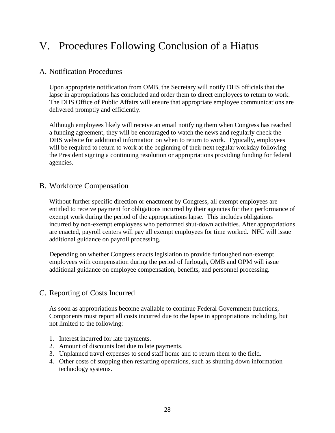# <span id="page-28-0"></span>V. Procedures Following Conclusion of a Hiatus

## A. Notification Procedures

Upon appropriate notification from OMB, the Secretary will notify DHS officials that the lapse in appropriations has concluded and order them to direct employees to return to work. The DHS Office of Public Affairs will ensure that appropriate employee communications are delivered promptly and efficiently.

Although employees likely will receive an email notifying them when Congress has reached a funding agreement, they will be encouraged to watch the news and regularly check the DHS website for additional information on when to return to work. Typically, employees will be required to return to work at the beginning of their next regular workday following the President signing a continuing resolution or appropriations providing funding for federal agencies.

# B. Workforce Compensation

Without further specific direction or enactment by Congress, all exempt employees are entitled to receive payment for obligations incurred by their agencies for their performance of exempt work during the period of the appropriations lapse. This includes obligations incurred by non-exempt employees who performed shut-down activities. After appropriations are enacted, payroll centers will pay all exempt employees for time worked. NFC will issue additional guidance on payroll processing.

Depending on whether Congress enacts legislation to provide furloughed non-exempt employees with compensation during the period of furlough, OMB and OPM will issue additional guidance on employee compensation, benefits, and personnel processing.

# C. Reporting of Costs Incurred

As soon as appropriations become available to continue Federal Government functions, Components must report all costs incurred due to the lapse in appropriations including, but not limited to the following:

- 1. Interest incurred for late payments.
- 2. Amount of discounts lost due to late payments.
- 3. Unplanned travel expenses to send staff home and to return them to the field.
- 4. Other costs of stopping then restarting operations, such as shutting down information technology systems.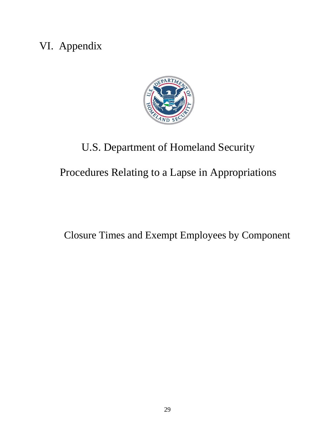# <span id="page-29-0"></span>VI. Appendix



# U.S. Department of Homeland Security

Procedures Relating to a Lapse in Appropriations

Closure Times and Exempt Employees by Component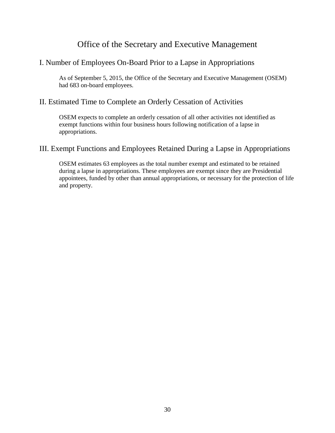# Office of the Secretary and Executive Management

# <span id="page-30-0"></span>I. Number of Employees On-Board Prior to a Lapse in Appropriations

As of September 5, 2015, the Office of the Secretary and Executive Management (OSEM) had 683 on-board employees.

## II. Estimated Time to Complete an Orderly Cessation of Activities

OSEM expects to complete an orderly cessation of all other activities not identified as exempt functions within four business hours following notification of a lapse in appropriations.

## III. Exempt Functions and Employees Retained During a Lapse in Appropriations

OSEM estimates 63 employees as the total number exempt and estimated to be retained during a lapse in appropriations. These employees are exempt since they are Presidential appointees, funded by other than annual appropriations, or necessary for the protection of life and property.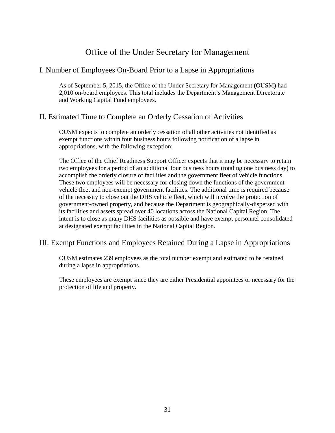# Office of the Under Secretary for Management

## <span id="page-31-0"></span>I. Number of Employees On-Board Prior to a Lapse in Appropriations

As of September 5, 2015, the Office of the Under Secretary for Management (OUSM) had 2,010 on-board employees. This total includes the Department's Management Directorate and Working Capital Fund employees.

# II. Estimated Time to Complete an Orderly Cessation of Activities

OUSM expects to complete an orderly cessation of all other activities not identified as exempt functions within four business hours following notification of a lapse in appropriations, with the following exception:

The Office of the Chief Readiness Support Officer expects that it may be necessary to retain two employees for a period of an additional four business hours (totaling one business day) to accomplish the orderly closure of facilities and the government fleet of vehicle functions. These two employees will be necessary for closing down the functions of the government vehicle fleet and non-exempt government facilities. The additional time is required because of the necessity to close out the DHS vehicle fleet, which will involve the protection of government-owned property, and because the Department is geographically-dispersed with its facilities and assets spread over 40 locations across the National Capital Region. The intent is to close as many DHS facilities as possible and have exempt personnel consolidated at designated exempt facilities in the National Capital Region.

# III. Exempt Functions and Employees Retained During a Lapse in Appropriations

OUSM estimates 239 employees as the total number exempt and estimated to be retained during a lapse in appropriations.

These employees are exempt since they are either Presidential appointees or necessary for the protection of life and property.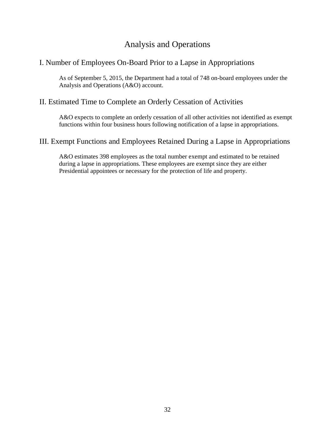# Analysis and Operations

# <span id="page-32-0"></span>I. Number of Employees On-Board Prior to a Lapse in Appropriations

As of September 5, 2015, the Department had a total of 748 on-board employees under the Analysis and Operations (A&O) account.

## II. Estimated Time to Complete an Orderly Cessation of Activities

A&O expects to complete an orderly cessation of all other activities not identified as exempt functions within four business hours following notification of a lapse in appropriations.

### III. Exempt Functions and Employees Retained During a Lapse in Appropriations

A&O estimates 398 employees as the total number exempt and estimated to be retained during a lapse in appropriations. These employees are exempt since they are either Presidential appointees or necessary for the protection of life and property.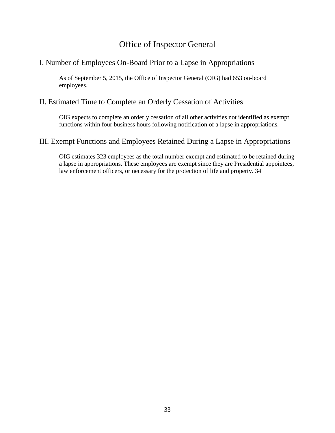# Office of Inspector General

# <span id="page-33-0"></span>I. Number of Employees On-Board Prior to a Lapse in Appropriations

As of September 5, 2015, the Office of Inspector General (OIG) had 653 on-board employees.

## II. Estimated Time to Complete an Orderly Cessation of Activities

OIG expects to complete an orderly cessation of all other activities not identified as exempt functions within four business hours following notification of a lapse in appropriations.

### III. Exempt Functions and Employees Retained During a Lapse in Appropriations

OIG estimates 323 employees as the total number exempt and estimated to be retained during a lapse in appropriations. These employees are exempt since they are Presidential appointees, law enforcement officers, or necessary for the protection of life and property. 34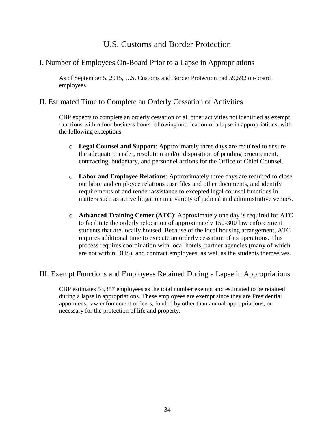# U.S. Customs and Border Protection

# <span id="page-34-0"></span>I. Number of Employees On-Board Prior to a Lapse in Appropriations

As of September 5, 2015, U.S. Customs and Border Protection had 59,592 on-board employees.

# II. Estimated Time to Complete an Orderly Cessation of Activities

CBP expects to complete an orderly cessation of all other activities not identified as exempt functions within four business hours following notification of a lapse in appropriations, with the following exceptions:

- o **Legal Counsel and Support**: Approximately three days are required to ensure the adequate transfer, resolution and/or disposition of pending procurement, contracting, budgetary, and personnel actions for the Office of Chief Counsel.
- o **Labor and Employee Relations**: Approximately three days are required to close out labor and employee relations case files and other documents, and identify requirements of and render assistance to excepted legal counsel functions in matters such as active litigation in a variety of judicial and administrative venues.
- o **Advanced Training Center (ATC)**: Approximately one day is required for ATC to facilitate the orderly relocation of approximately 150-300 law enforcement students that are locally housed. Because of the local housing arrangement, ATC requires additional time to execute an orderly cessation of its operations. This process requires coordination with local hotels, partner agencies (many of which are not within DHS), and contract employees, as well as the students themselves.

# III. Exempt Functions and Employees Retained During a Lapse in Appropriations

CBP estimates 53,357 employees as the total number exempt and estimated to be retained during a lapse in appropriations. These employees are exempt since they are Presidential appointees, law enforcement officers, funded by other than annual appropriations, or necessary for the protection of life and property.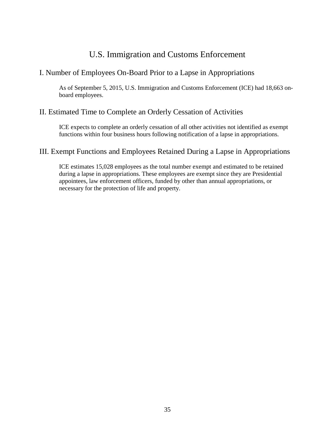# U.S. Immigration and Customs Enforcement

## <span id="page-35-0"></span>I. Number of Employees On-Board Prior to a Lapse in Appropriations

As of September 5, 2015, U.S. Immigration and Customs Enforcement (ICE) had 18,663 onboard employees.

## II. Estimated Time to Complete an Orderly Cessation of Activities

ICE expects to complete an orderly cessation of all other activities not identified as exempt functions within four business hours following notification of a lapse in appropriations.

## III. Exempt Functions and Employees Retained During a Lapse in Appropriations

ICE estimates 15,028 employees as the total number exempt and estimated to be retained during a lapse in appropriations. These employees are exempt since they are Presidential appointees, law enforcement officers, funded by other than annual appropriations, or necessary for the protection of life and property.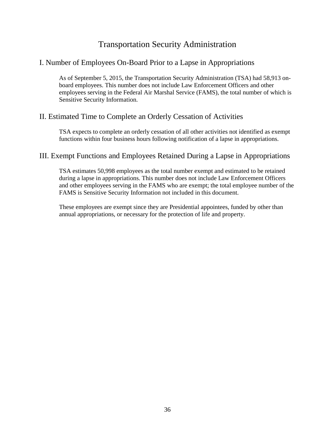# Transportation Security Administration

# <span id="page-36-0"></span>I. Number of Employees On-Board Prior to a Lapse in Appropriations

As of September 5, 2015, the Transportation Security Administration (TSA) had 58,913 onboard employees. This number does not include Law Enforcement Officers and other employees serving in the Federal Air Marshal Service (FAMS), the total number of which is Sensitive Security Information.

# II. Estimated Time to Complete an Orderly Cessation of Activities

TSA expects to complete an orderly cessation of all other activities not identified as exempt functions within four business hours following notification of a lapse in appropriations.

# III. Exempt Functions and Employees Retained During a Lapse in Appropriations

TSA estimates 50,998 employees as the total number exempt and estimated to be retained during a lapse in appropriations. This number does not include Law Enforcement Officers and other employees serving in the FAMS who are exempt; the total employee number of the FAMS is Sensitive Security Information not included in this document.

These employees are exempt since they are Presidential appointees, funded by other than annual appropriations, or necessary for the protection of life and property.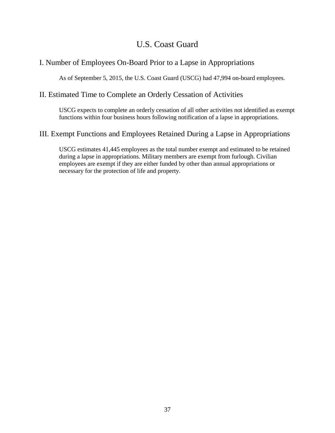# U.S. Coast Guard

# <span id="page-37-0"></span>I. Number of Employees On-Board Prior to a Lapse in Appropriations

As of September 5, 2015, the U.S. Coast Guard (USCG) had 47,994 on-board employees.

# II. Estimated Time to Complete an Orderly Cessation of Activities

USCG expects to complete an orderly cessation of all other activities not identified as exempt functions within four business hours following notification of a lapse in appropriations.

# III. Exempt Functions and Employees Retained During a Lapse in Appropriations

USCG estimates 41,445 employees as the total number exempt and estimated to be retained during a lapse in appropriations. Military members are exempt from furlough. Civilian employees are exempt if they are either funded by other than annual appropriations or necessary for the protection of life and property.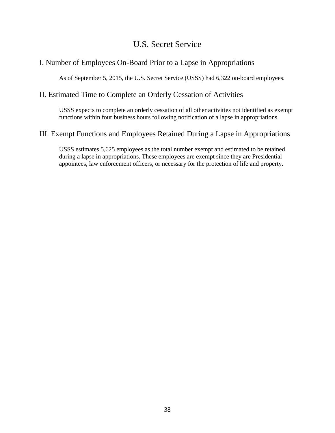# U.S. Secret Service

# <span id="page-38-0"></span>I. Number of Employees On-Board Prior to a Lapse in Appropriations

As of September 5, 2015, the U.S. Secret Service (USSS) had 6,322 on-board employees.

## II. Estimated Time to Complete an Orderly Cessation of Activities

USSS expects to complete an orderly cessation of all other activities not identified as exempt functions within four business hours following notification of a lapse in appropriations.

## III. Exempt Functions and Employees Retained During a Lapse in Appropriations

USSS estimates 5,625 employees as the total number exempt and estimated to be retained during a lapse in appropriations. These employees are exempt since they are Presidential appointees, law enforcement officers, or necessary for the protection of life and property.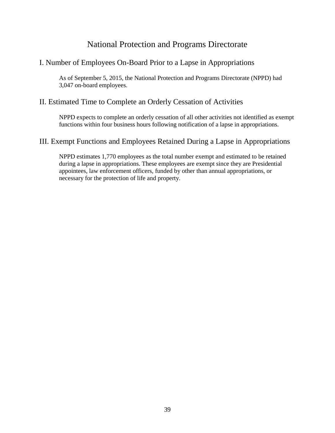# National Protection and Programs Directorate

# <span id="page-39-0"></span>I. Number of Employees On-Board Prior to a Lapse in Appropriations

As of September 5, 2015, the National Protection and Programs Directorate (NPPD) had 3,047 on-board employees.

# II. Estimated Time to Complete an Orderly Cessation of Activities

NPPD expects to complete an orderly cessation of all other activities not identified as exempt functions within four business hours following notification of a lapse in appropriations.

## III. Exempt Functions and Employees Retained During a Lapse in Appropriations

NPPD estimates 1,770 employees as the total number exempt and estimated to be retained during a lapse in appropriations. These employees are exempt since they are Presidential appointees, law enforcement officers, funded by other than annual appropriations, or necessary for the protection of life and property.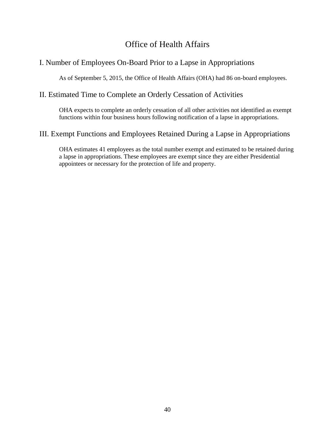# Office of Health Affairs

# <span id="page-40-0"></span>I. Number of Employees On-Board Prior to a Lapse in Appropriations

As of September 5, 2015, the Office of Health Affairs (OHA) had 86 on-board employees.

## II. Estimated Time to Complete an Orderly Cessation of Activities

OHA expects to complete an orderly cessation of all other activities not identified as exempt functions within four business hours following notification of a lapse in appropriations.

## III. Exempt Functions and Employees Retained During a Lapse in Appropriations

OHA estimates 41 employees as the total number exempt and estimated to be retained during a lapse in appropriations. These employees are exempt since they are either Presidential appointees or necessary for the protection of life and property.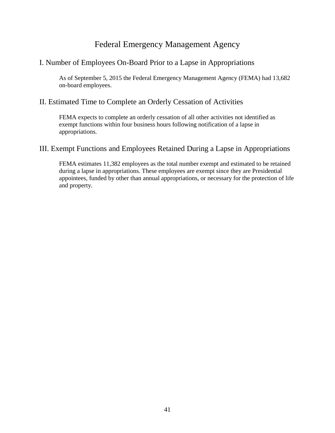# Federal Emergency Management Agency

# <span id="page-41-0"></span>I. Number of Employees On-Board Prior to a Lapse in Appropriations

As of September 5, 2015 the Federal Emergency Management Agency (FEMA) had 13,682 on-board employees.

## II. Estimated Time to Complete an Orderly Cessation of Activities

FEMA expects to complete an orderly cessation of all other activities not identified as exempt functions within four business hours following notification of a lapse in appropriations.

## III. Exempt Functions and Employees Retained During a Lapse in Appropriations

FEMA estimates 11,382 employees as the total number exempt and estimated to be retained during a lapse in appropriations. These employees are exempt since they are Presidential appointees, funded by other than annual appropriations, or necessary for the protection of life and property.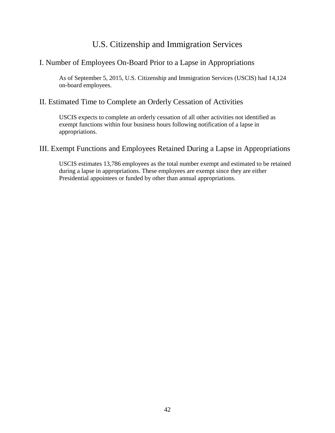# U.S. Citizenship and Immigration Services

# <span id="page-42-0"></span>I. Number of Employees On-Board Prior to a Lapse in Appropriations

As of September 5, 2015, U.S. Citizenship and Immigration Services (USCIS) had 14,124 on-board employees.

# II. Estimated Time to Complete an Orderly Cessation of Activities

USCIS expects to complete an orderly cessation of all other activities not identified as exempt functions within four business hours following notification of a lapse in appropriations.

# III. Exempt Functions and Employees Retained During a Lapse in Appropriations

USCIS estimates 13,786 employees as the total number exempt and estimated to be retained during a lapse in appropriations. These employees are exempt since they are either Presidential appointees or funded by other than annual appropriations.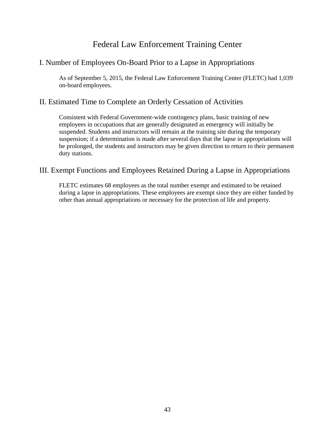# Federal Law Enforcement Training Center

# <span id="page-43-0"></span>I. Number of Employees On-Board Prior to a Lapse in Appropriations

As of September 5, 2015, the Federal Law Enforcement Training Center (FLETC) had 1,039 on-board employees.

# II. Estimated Time to Complete an Orderly Cessation of Activities

Consistent with Federal Government-wide contingency plans, basic training of new employees in occupations that are generally designated as emergency will initially be suspended. Students and instructors will remain at the training site during the temporary suspension; if a determination is made after several days that the lapse in appropriations will be prolonged, the students and instructors may be given direction to return to their permanent duty stations.

### III. Exempt Functions and Employees Retained During a Lapse in Appropriations

FLETC estimates 68 employees as the total number exempt and estimated to be retained during a lapse in appropriations. These employees are exempt since they are either funded by other than annual appropriations or necessary for the protection of life and property.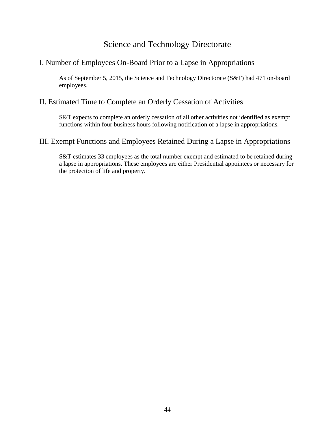# Science and Technology Directorate

# <span id="page-44-0"></span>I. Number of Employees On-Board Prior to a Lapse in Appropriations

As of September 5, 2015, the Science and Technology Directorate (S&T) had 471 on-board employees.

## II. Estimated Time to Complete an Orderly Cessation of Activities

S&T expects to complete an orderly cessation of all other activities not identified as exempt functions within four business hours following notification of a lapse in appropriations.

### III. Exempt Functions and Employees Retained During a Lapse in Appropriations

S&T estimates 33 employees as the total number exempt and estimated to be retained during a lapse in appropriations. These employees are either Presidential appointees or necessary for the protection of life and property.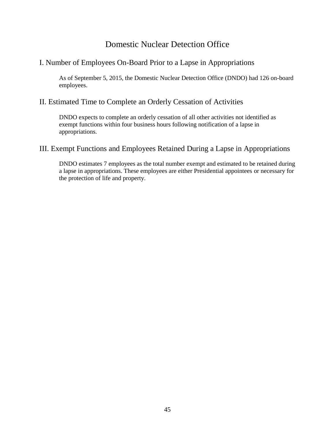# Domestic Nuclear Detection Office

# <span id="page-45-0"></span>I. Number of Employees On-Board Prior to a Lapse in Appropriations

As of September 5, 2015, the Domestic Nuclear Detection Office (DNDO) had 126 on-board employees.

## II. Estimated Time to Complete an Orderly Cessation of Activities

DNDO expects to complete an orderly cessation of all other activities not identified as exempt functions within four business hours following notification of a lapse in appropriations.

### III. Exempt Functions and Employees Retained During a Lapse in Appropriations

DNDO estimates 7 employees as the total number exempt and estimated to be retained during a lapse in appropriations. These employees are either Presidential appointees or necessary for the protection of life and property.